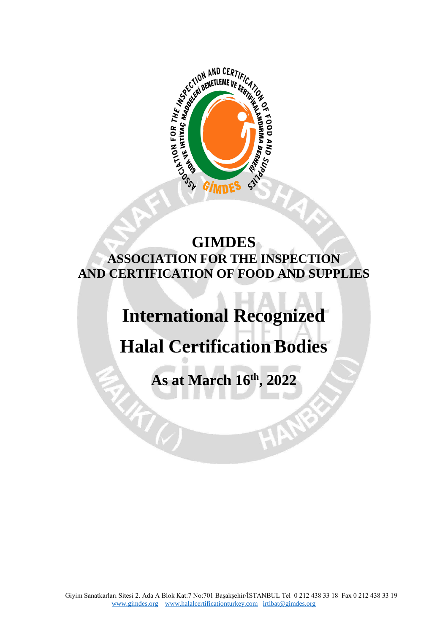

## **GIMDES ASSOCIATION FOR THE INSPECTION AND CERTIFICATION OF FOOD AND SUPPLIES**

## **International Recognized**

## **Halal Certification Bodies**

**As at March 16th, 2022**

 $47\%$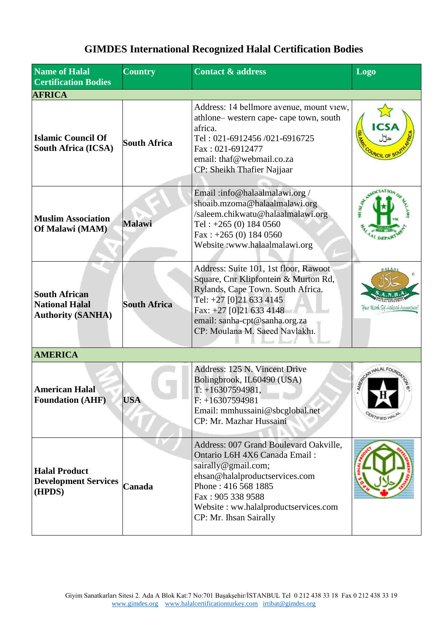## **GIMDES International Recognized Halal Certification Bodies**

| <b>Name of Halal</b><br><b>Certification Bodies</b>                       | <b>Country</b>      | <b>Contact &amp; address</b>                                                                                                                                                                                                                   | Logo                                      |
|---------------------------------------------------------------------------|---------------------|------------------------------------------------------------------------------------------------------------------------------------------------------------------------------------------------------------------------------------------------|-------------------------------------------|
| <b>AFRICA</b>                                                             |                     |                                                                                                                                                                                                                                                |                                           |
| <b>Islamic Council Of</b><br><b>South Africa (ICSA)</b>                   | <b>South Africa</b> | Address: 14 bellmore avenue, mount view,<br>athlone-western cape-cape town, south<br>africa.<br>Tel: 021-6912456/021-6916725<br>Fax: 021-6912477<br>email: thaf@webmail.co.za<br>CP: Sheikh Thafier Najjaar                                    | <b>ICSA</b><br><b>ISLAW</b><br>COUNCIL OF |
| <b>Muslim Association</b><br>Of Malawi (MAM)                              | <b>Malawi</b>       | Email:info@halaalmalawi.org/<br>shoaib.mzoma@halaalmalawi.org<br>/saleem.chikwatu@halaalmalawi.org<br>Tel: $+265(0)$ 184 0560<br>Fax: $+265$ (0) 184 0560<br>Website:www.halaalmalawi.org                                                      |                                           |
| <b>South African</b><br><b>National Halal</b><br><b>Authority (SANHA)</b> | <b>South Africa</b> | Address: Suite 101, 1st floor, Rawoot<br>Square, Cnr Klipfontein & Murton Rd,<br>Rylands, Cape Town. South Africa.<br>Tel: +27 [0]21 633 4145<br>Fax: +27 [0]21 633 4148<br>email: sanha-cpt@sanha.org.za<br>CP: Moulana M. Saeed Navlakhi.    | lour Mark Of Hakaak Assurance             |
| <b>AMERICA</b>                                                            |                     |                                                                                                                                                                                                                                                |                                           |
| <b>American Halal</b><br><b>Foundation (AHF)</b>                          | <b>USA</b>          | Address: 125 N. Vincent Drive<br>Bolingbrook, IL60490 (USA)<br>$T: +16307594981,$<br>$F: +16307594981$<br>Email: mmhussaini@sbcglobal.net<br>CP: Mr. Mazhar Hussaini                                                                           | SECON HALAL FOL<br><b><i>PRTIFIED</i></b> |
| <b>Halal Product</b><br><b>Development Services</b><br>(HPDS)             | Canada              | Address: 007 Grand Boulevard Oakville,<br>Ontario L6H 4X6 Canada Email:<br>sairally@gmail.com;<br>ehsan@halalproductservices.com<br>Phone: 416 568 1885<br>Fax: 905 338 9588<br>Website: ww.halalproductservices.com<br>CP: Mr. Ihsan Sairally |                                           |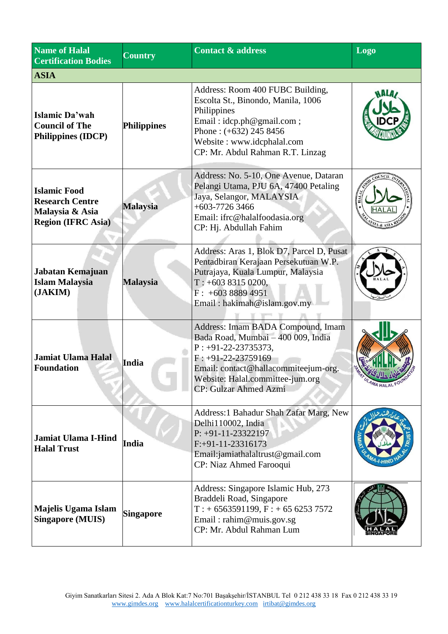| <b>Name of Halal</b><br><b>Certification Bodies</b>                                           | <b>Country</b>     | <b>Contact &amp; address</b>                                                                                                                                                                                                  | Logo       |
|-----------------------------------------------------------------------------------------------|--------------------|-------------------------------------------------------------------------------------------------------------------------------------------------------------------------------------------------------------------------------|------------|
| <b>ASIA</b>                                                                                   |                    |                                                                                                                                                                                                                               |            |
| Islamic Da'wah<br><b>Council of The</b><br><b>Philippines (IDCP)</b>                          | <b>Philippines</b> | Address: Room 400 FUBC Building,<br>Escolta St., Binondo, Manila, 1006<br>Philippines<br>Email: idcp.ph@gmail.com;<br>Phone: $(+632)$ 245 8456<br>Website: www.idcphalal.com<br>CP: Mr. Abdul Rahman R.T. Linzag              |            |
| <b>Islamic Food</b><br><b>Research Centre</b><br>Malaysia & Asia<br><b>Region (IFRC Asia)</b> | <b>Malaysia</b>    | Address: No. 5-10, One Avenue, Dataran<br>Pelangi Utama, PJU 6A, 47400 Petaling<br>Jaya, Selangor, MALAYSIA<br>$+603-77263466$<br>Email: ifrc@halalfoodasia.org<br>CP: Hj. Abdullah Fahim                                     |            |
| Jabatan Kemajuan<br><b>Islam Malaysia</b><br>(JAKIM)                                          | <b>Malaysia</b>    | Address: Aras 1, Blok D7, Parcel D, Pusat<br>Pentadbiran Kerajaan Persekutuan W.P.<br>Putrajaya, Kuala Lumpur, Malaysia<br>$T: +60383150200,$<br>$F: +60388894951$<br>Email: hakimah@islam.gov.my                             |            |
| <b>Jamiat Ulama Halal</b><br><b>Foundation</b>                                                | India              | Address: Imam BADA Compound, Imam<br>Bada Road, Mumbai - 400 009, India<br>$P: +91-22-23735373,$<br>$F: +91-22-23759169$<br>Email: contact@hallacommiteejum-org.<br>Website: Halal.committee-jum.org<br>CP: Gulzar Ahmed Azmi | LAMA HALAL |
| <b>Jamiat Ulama I-Hind</b><br><b>Halal Trust</b>                                              | India              | Address:1 Bahadur Shah Zafar Marg, New<br>Delhi110002, India<br>$P: +91-11-23322197$<br>$F: +91-11-23316173$<br>Email:jamiathalaltrust@gmail.com<br>CP: Niaz Ahmed Farooqui                                                   |            |
| Majelis Ugama Islam<br><b>Singapore (MUIS)</b>                                                | <b>Singapore</b>   | Address: Singapore Islamic Hub, 273<br>Braddeli Road, Singapore<br>$T: +6563591199, F: +6562537572$<br>Email: rahim@muis.gov.sg<br>CP: Mr. Abdul Rahman Lum                                                                   |            |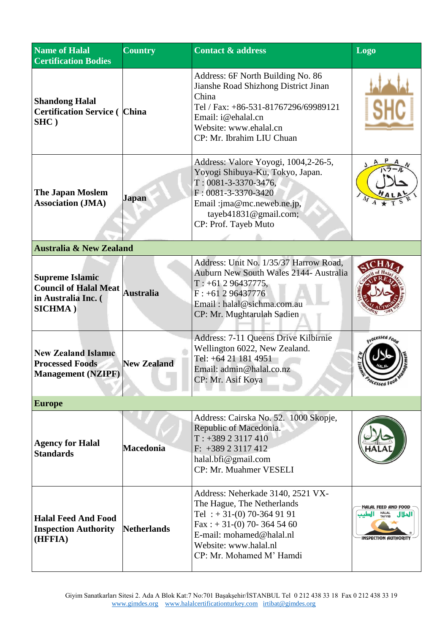| <b>Name of Halal</b><br><b>Certification Bodies</b>                                              | <b>Country</b>     | <b>Contact &amp; address</b>                                                                                                                                                                                            | Logo                                                                                   |
|--------------------------------------------------------------------------------------------------|--------------------|-------------------------------------------------------------------------------------------------------------------------------------------------------------------------------------------------------------------------|----------------------------------------------------------------------------------------|
| <b>Shandong Halal</b><br><b>Certification Service (China</b><br>$SHC$ )                          |                    | Address: 6F North Building No. 86<br>Jianshe Road Shizhong District Jinan<br>China<br>Tel / Fax: +86-531-81767296/69989121<br>Email: i@ehalal.cn<br>Website: www.ehalal.cn<br>CP: Mr. Ibrahim LIU Chuan                 |                                                                                        |
| <b>The Japan Moslem</b><br><b>Association (JMA)</b>                                              | Japan              | Address: Valore Yoyogi, 1004,2-26-5,<br>Yoyogi Shibuya-Ku, Tokyo, Japan.<br>$T: 0081 - 3 - 3370 - 3476$ ,<br>$F: 0081 - 3 - 3370 - 3420$<br>Email: jma@mc.neweb.ne.jp,<br>tayeb41831@gmail.com;<br>CP: Prof. Tayeb Muto |                                                                                        |
| <b>Australia &amp; New Zealand</b>                                                               |                    |                                                                                                                                                                                                                         |                                                                                        |
| <b>Supreme Islamic</b><br><b>Council of Halal Meat</b><br>in Australia Inc. (<br><b>SICHMA</b> ) | <b>Australia</b>   | Address: Unit No. 1/35/37 Harrow Road,<br>Auburn New South Wales 2144- Australia<br>$T: +61296437775,$<br>$F: +61296437776$<br>Email: halal@sichma.com.au<br>CP: Mr. Mughtarulah Sadien                                 |                                                                                        |
| <b>New Zealand Islamic</b><br><b>Processed Foods</b><br><b>Management (NZIPF)</b>                | <b>New Zealand</b> | Address: 7-11 Queens Drive Kilbirnie<br>Wellington 6022, New Zealand.<br>Tel: +64 21 181 4951<br>Email: admin@halal.co.nz<br>CP: Mr. Asif Koya                                                                          | Ocessed Foot                                                                           |
| <b>Europe</b>                                                                                    |                    |                                                                                                                                                                                                                         |                                                                                        |
| <b>Agency for Halal</b><br><b>Standards</b>                                                      | <b>Macedonia</b>   | Address: Cairska No. 52. 1000 Skopje,<br>Republic of Macedonia.<br>$T: +38923117410$<br>$F: +38923117412$<br>halal.bfi $@$ gmail.com<br>CP: Mr. Muahmer VESELI                                                          |                                                                                        |
| <b>Halal Feed And Food</b><br><b>Inspection Authority</b><br>(HFFIA)                             | <b>Netherlands</b> | Address: Neherkade 3140, 2521 VX-<br>The Hague, The Netherlands<br>Tel : $+31-(0)$ 70-364 91 91<br>Fax: $+31-(0)$ 70-364 54 60<br>E-mail: mohamed@halal.nl<br>Website: www.halal.nl<br>CP: Mr. Mohamed M' Hamdi         | HALAL FEED AND FOOD<br><b>HALAL</b><br>TAYYIB<br>الحلال<br><b>INSPECTION AUTHORITY</b> |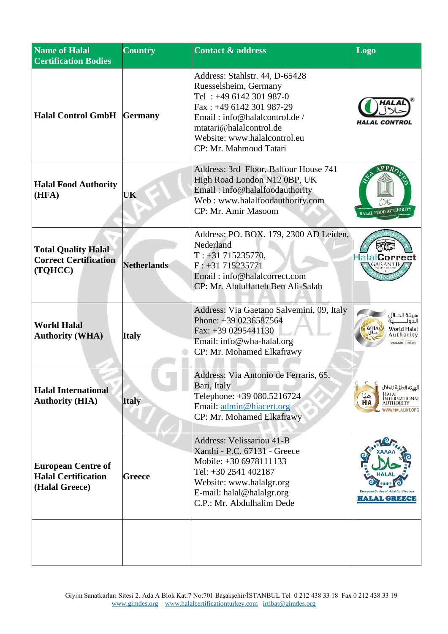| Name of Halal<br><b>Certification Bodies</b>                              | <b>Country</b>     | Contact $\overline{\mathbf{x}}$ address                                                                                                                                                                                            | <b>Logo</b>                                                                                     |
|---------------------------------------------------------------------------|--------------------|------------------------------------------------------------------------------------------------------------------------------------------------------------------------------------------------------------------------------------|-------------------------------------------------------------------------------------------------|
| <b>Halal Control GmbH Germany</b>                                         |                    | Address: Stahlstr. 44, D-65428<br>Ruesselsheim, Germany<br>Tel: +49 6142 301 987-0<br>Fax: $+496142301987-29$<br>Email: info@halalcontrol.de/<br>mtatari@halalcontrol.de<br>Website: www.halalcontrol.eu<br>CP: Mr. Mahmoud Tatari | HALAL CONTROL                                                                                   |
| <b>Halal Food Authority</b><br>(HFA)                                      | UK                 | Address: 3rd Floor, Balfour House 741<br>High Road London N12 0BP, UK<br>Email: info@halalfoodauthority<br>Web: www.halalfoodauthority.com<br>CP: Mr. Amir Masoom                                                                  | APPR<br>HALAL FOOD AUTHOI                                                                       |
| <b>Total Quality Halal</b><br><b>Correct Certification</b><br>(TQHCC)     | <b>Netherlands</b> | Address: PO. BOX. 179, 2300 AD Leiden,<br>Nederland<br>$T: +31715235770,$<br>$F: +31715235771$<br>Email: info@halalcorrect.com<br>CP: Mr. Abdulfatteh Ben Ali-Salah                                                                | <b>HalalCorrect</b>                                                                             |
| <b>World Halal</b><br><b>Authority (WHA)</b>                              | <b>Italy</b>       | Address: Via Gaetano Salvemini, 09, Italy<br>Phone: +39 0236587564<br>Fax: $+390295441130$<br>Email: info@wha-halal.org<br>CP: Mr. Mohamed Elkafrawy                                                                               | هيئة الحلاز<br>الدوك<br>World Halal<br>Authority<br>ww.wha-halal.org                            |
| <b>Halal International</b><br><b>Authority (HIA)</b>                      | <b>Italy</b>       | Address: Via Antonio de Ferraris, 65,<br>Bari, Italy<br>Telephone: +39 080.5216724<br>Email: admin@hiacert.org<br>CP: Mr. Mohamed Elkafrawy                                                                                        | الهيئة العالمية للحلال<br>Halal<br>International<br>Authority<br>HIA<br><b>WWW.HALALINT.ORG</b> |
| <b>European Centre of</b><br><b>Halal Certification</b><br>(Halal Greece) | Greece             | Address: Velissariou 41-B<br>Xanthi - P.C. 67131 - Greece<br>Mobile: +30 6978111133<br>Tel: +30 2541 402187<br>Website: www.halalgr.org<br>E-mail: halal@halalgr.org<br>C.P.: Mr. Abdulhalim Dede                                  | <b>HALAL GREECE</b>                                                                             |
|                                                                           |                    |                                                                                                                                                                                                                                    |                                                                                                 |